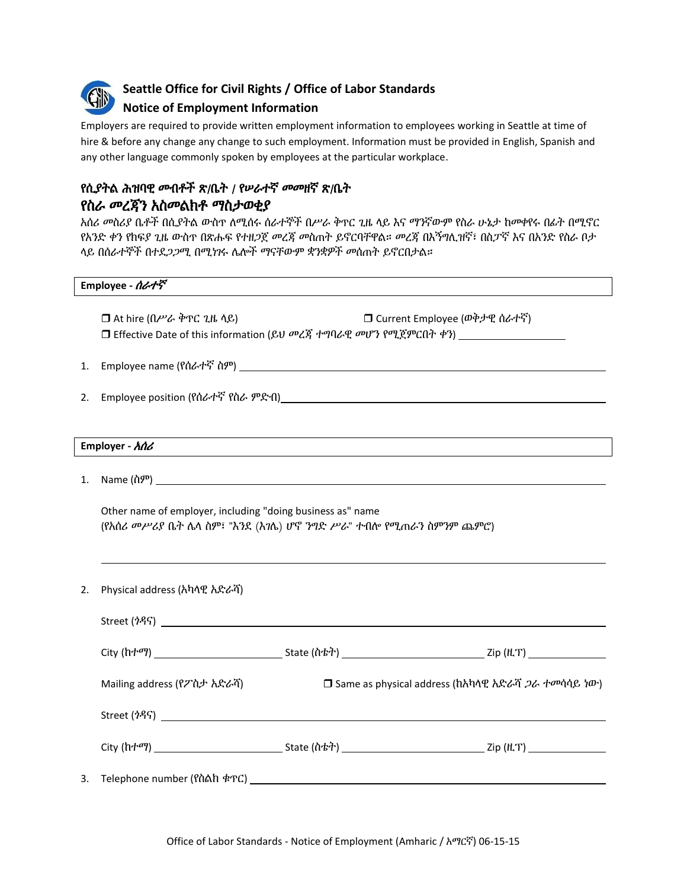

# **Seattle Office for Civil Rights / Office of Labor Standards**

# **Notice of Employment Information**

Employers are required to provide written employment information to employees working in Seattle at time of hire & before any change any change to such employment. Information must be provided in English, Spanish and any other language commonly spoken by employees at the particular workplace.

# የሲያትል ሕዝባዊ መብቶች ጽ/ቤት / የሠራተኛ መመዘኛ ጽ/ቤት የስራ መረጃን አስመልክቶ ማስታወቂያ

አሰሪ መስሪያ ቤቶች በሲያትል ውስጥ ለሚሰሩ ሰራተኞች በሥራ ቅጥር ጊዜ ላይ እና ማንኛውም የስራ ሁኔታ ከመቀየሩ በፊት በሚኖር የአንድ ቀን የክፍያ ጊዜ ውስጥ በጽሑፍ የተዘጋጀ መረጃ መስጠት ይኖርባቸዋል። መረጃ በእኝግሊዝኛ፣ በስፓኛ እና በአንድ የስራ ቦታ ላይ በሰራተኞች በተደጋጋሚ በሚነገሩ ሌሎች ማናቸውም ቋንቋዎች መሰጠት ይኖርበታል።

| Employee - <i>ሰራተኛ</i> |  |  |
|------------------------|--|--|
|------------------------|--|--|

 At hire (በሥራ ቅጥር ጊዜ ላይ) Current Employee (ወቅታዊ ሰራተኛ) Effective Date of this information (ይህ መረጃ ተግባራዊ መሆን የሚጀምርበት ቀን)

- 1. Employee name (የሰራተኛ ስም)
- 2. Employee position (የሰራተኛ የስራ ምድብ)

## **Employer -** አሰሪ

1. Name (ስም)

Other name of employer, including "doing business as" name (የአሰሪ መሥሪያ ቤት ሌላ ስም፣ "እንደ (እገሌ) ሆኖ ንግድ ሥራ" ተብሎ የሚጠራን ስምንም ጨምሮ)

2. Physical address (አካላዊ አድራሻ)

| Street $(7)$ $\overline{)}$ |                                                     |  |  |
|-----------------------------|-----------------------------------------------------|--|--|
|                             |                                                     |  |  |
| Mailing address (የፖስታ አድራሻ) | □ Same as physical address (hእካላዊ አድራሻ ጋራ ተመሳሳይ ነው) |  |  |
|                             |                                                     |  |  |
|                             |                                                     |  |  |
|                             |                                                     |  |  |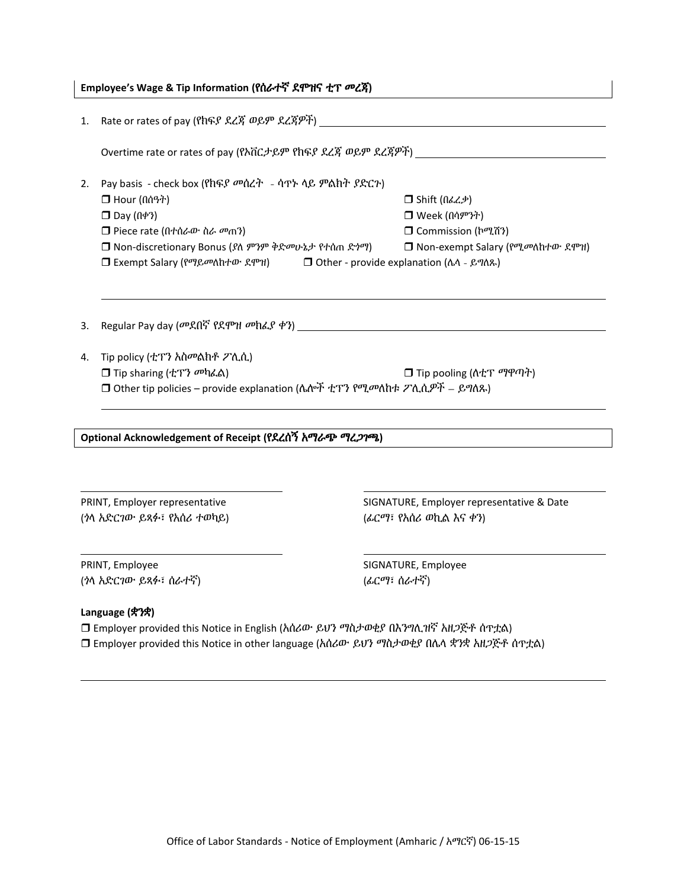| Employee's Wage & Tip Information (የሰራተኛ ደሞዝና ቲፕ መረጃ) |  |
|-------------------------------------------------------|--|
|                                                       |  |

|                                | 1. Rate or rates of pay (የክፍያ ደረጃ ወይም ደረጃዎች)                                    |                                                                                         |  |  |  |
|--------------------------------|---------------------------------------------------------------------------------|-----------------------------------------------------------------------------------------|--|--|--|
|                                |                                                                                 | Overtime rate or rates of pay (የአቨርታይም የከፍያ ደረጃ ወይም ደረጃዎች) ______________________       |  |  |  |
| 2.                             | Pay basis - check box (የክፍያ መሰረት - ሳጥኑ ላይ ምልክት ያድርጉ)                            |                                                                                         |  |  |  |
|                                | $\Box$ Hour ( $\hat{\Pi}$                                                       | $\Box$ Shift (በፌረ.ቃ)                                                                    |  |  |  |
|                                | $\Box$ Day ( $\left(\frac{1}{2}\right)$ )                                       | □ Week (በሳምንት)                                                                          |  |  |  |
|                                | $\Box$ Piece rate (በተሰራው ስራ መጠን)                                                | □ Commission (hሚሽን)                                                                     |  |  |  |
|                                | □ Non-discretionary Bonus (ያለ ምንም ቅድመሁኔታ የተሰጠ ድንማ)                              | □ Non-exempt Salary (የሚመለከተው ደሞዝ)                                                       |  |  |  |
|                                | □ Exempt Salary (የማይመለከተው ደሞዝ)<br>□ Other - provide explanation (ふへ - ይግለጹ)     |                                                                                         |  |  |  |
|                                |                                                                                 |                                                                                         |  |  |  |
|                                |                                                                                 |                                                                                         |  |  |  |
| 3.                             |                                                                                 |                                                                                         |  |  |  |
| 4.                             | Tip policy (ቲፕን አስመልክቶ ፖሊሲ)                                                     |                                                                                         |  |  |  |
|                                | $\Box$ Tip sharing (ቲፕን መካፈል)                                                   | $\Box$ Tip pooling ( $\Lambda$ ቲፕ ማዋጣት)                                                 |  |  |  |
|                                | □ Other tip policies – provide explanation (ሌሎች ቲፕን የሚመለከቱ ፖሊሲዎች – ይግለጹ)        |                                                                                         |  |  |  |
|                                |                                                                                 |                                                                                         |  |  |  |
|                                |                                                                                 |                                                                                         |  |  |  |
|                                | Optional Acknowledgement of Receipt (የደረሰኝ አማራጭ ማረጋገጫ)                          |                                                                                         |  |  |  |
|                                |                                                                                 |                                                                                         |  |  |  |
|                                |                                                                                 |                                                                                         |  |  |  |
| PRINT, Employer representative |                                                                                 | SIGNATURE, Employer representative & Date                                               |  |  |  |
| (ንላ አድርገው ይጻፉ፣ የአሰሪ ተወካይ)      |                                                                                 | (ፊርማ፣ የአሰሪ ወኪል እና ቀን)                                                                   |  |  |  |
|                                |                                                                                 |                                                                                         |  |  |  |
| PRINT, Employee                |                                                                                 | SIGNATURE, Employee                                                                     |  |  |  |
| (ነላ አድርገው ይጻፉ፣ ሰራተኛ)           |                                                                                 | (ፊርማ፣ ሰራተኛ)                                                                             |  |  |  |
|                                | Language (\$?\$)                                                                |                                                                                         |  |  |  |
|                                | □ Employer provided this Notice in English (አሰሪው ይህን ማስታወቂያ በእንግሊዝኛ አዘጋጅቶ ሰጥቷል) |                                                                                         |  |  |  |
|                                |                                                                                 | □ Employer provided this Notice in other language (አሰሪው· ይህን ማስታወቂያ በሌላ ቋንቋ አዘጋጅቶ ሰጥቷል) |  |  |  |